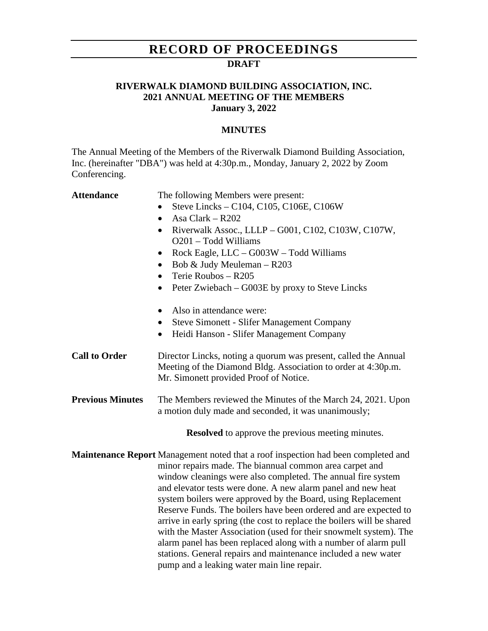## **RECORD OF PROCEEDINGS**

### **DRAFT**

### **RIVERWALK DIAMOND BUILDING ASSOCIATION, INC. 2021 ANNUAL MEETING OF THE MEMBERS January 3, 2022**

#### **MINUTES**

The Annual Meeting of the Members of the Riverwalk Diamond Building Association, Inc. (hereinafter "DBA") was held at 4:30p.m., Monday, January 2, 2022 by Zoom Conferencing.

| <b>Attendance</b>       | The following Members were present:<br>Steve Lincks - C104, C105, C106E, C106W<br>Asa Clark $-$ R202<br>$\bullet$<br>Riverwalk Assoc., LLLP - G001, C102, C103W, C107W,<br>$\bullet$<br>O201 - Todd Williams<br>Rock Eagle, LLC - G003W - Todd Williams<br>$\bullet$<br>Bob & Judy Meuleman - R203<br>$\bullet$<br>Terie Roubos - R205<br>$\bullet$<br>Peter Zwiebach – G003E by proxy to Steve Lincks<br>$\bullet$<br>Also in attendance were:<br>$\bullet$<br><b>Steve Simonett - Slifer Management Company</b><br>$\bullet$<br>Heidi Hanson - Slifer Management Company<br>$\bullet$                                                                                                                                                            |
|-------------------------|----------------------------------------------------------------------------------------------------------------------------------------------------------------------------------------------------------------------------------------------------------------------------------------------------------------------------------------------------------------------------------------------------------------------------------------------------------------------------------------------------------------------------------------------------------------------------------------------------------------------------------------------------------------------------------------------------------------------------------------------------|
| <b>Call to Order</b>    | Director Lincks, noting a quorum was present, called the Annual<br>Meeting of the Diamond Bldg. Association to order at 4:30p.m.<br>Mr. Simonett provided Proof of Notice.                                                                                                                                                                                                                                                                                                                                                                                                                                                                                                                                                                         |
| <b>Previous Minutes</b> | The Members reviewed the Minutes of the March 24, 2021. Upon<br>a motion duly made and seconded, it was unanimously;<br><b>Resolved</b> to approve the previous meeting minutes.                                                                                                                                                                                                                                                                                                                                                                                                                                                                                                                                                                   |
|                         | Maintenance Report Management noted that a roof inspection had been completed and<br>minor repairs made. The biannual common area carpet and<br>window cleanings were also completed. The annual fire system<br>and elevator tests were done. A new alarm panel and new heat<br>system boilers were approved by the Board, using Replacement<br>Reserve Funds. The boilers have been ordered and are expected to<br>arrive in early spring (the cost to replace the boilers will be shared<br>with the Master Association (used for their snowmelt system). The<br>alarm panel has been replaced along with a number of alarm pull<br>stations. General repairs and maintenance included a new water<br>pump and a leaking water main line repair. |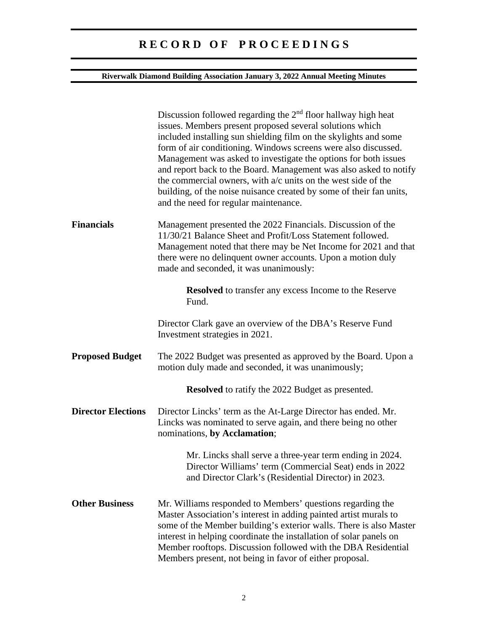# **R E C O R D O F P R O C E E D I N G S**

### **Riverwalk Diamond Building Association January 3, 2022 Annual Meeting Minutes**

|                           | Discussion followed regarding the 2 <sup>nd</sup> floor hallway high heat<br>issues. Members present proposed several solutions which<br>included installing sun shielding film on the skylights and some<br>form of air conditioning. Windows screens were also discussed.<br>Management was asked to investigate the options for both issues<br>and report back to the Board. Management was also asked to notify<br>the commercial owners, with a/c units on the west side of the<br>building, of the noise nuisance created by some of their fan units,<br>and the need for regular maintenance. |
|---------------------------|------------------------------------------------------------------------------------------------------------------------------------------------------------------------------------------------------------------------------------------------------------------------------------------------------------------------------------------------------------------------------------------------------------------------------------------------------------------------------------------------------------------------------------------------------------------------------------------------------|
| <b>Financials</b>         | Management presented the 2022 Financials. Discussion of the<br>11/30/21 Balance Sheet and Profit/Loss Statement followed.<br>Management noted that there may be Net Income for 2021 and that<br>there were no delinquent owner accounts. Upon a motion duly<br>made and seconded, it was unanimously:                                                                                                                                                                                                                                                                                                |
|                           | <b>Resolved</b> to transfer any excess Income to the Reserve<br>Fund.                                                                                                                                                                                                                                                                                                                                                                                                                                                                                                                                |
|                           | Director Clark gave an overview of the DBA's Reserve Fund<br>Investment strategies in 2021.                                                                                                                                                                                                                                                                                                                                                                                                                                                                                                          |
| <b>Proposed Budget</b>    | The 2022 Budget was presented as approved by the Board. Upon a<br>motion duly made and seconded, it was unanimously;                                                                                                                                                                                                                                                                                                                                                                                                                                                                                 |
|                           | <b>Resolved</b> to ratify the 2022 Budget as presented.                                                                                                                                                                                                                                                                                                                                                                                                                                                                                                                                              |
| <b>Director Elections</b> | Director Lincks' term as the At-Large Director has ended. Mr.<br>Lincks was nominated to serve again, and there being no other<br>nominations, by Acclamation;                                                                                                                                                                                                                                                                                                                                                                                                                                       |
|                           | Mr. Lincks shall serve a three-year term ending in 2024.<br>Director Williams' term (Commercial Seat) ends in 2022<br>and Director Clark's (Residential Director) in 2023.                                                                                                                                                                                                                                                                                                                                                                                                                           |
| <b>Other Business</b>     | Mr. Williams responded to Members' questions regarding the<br>Master Association's interest in adding painted artist murals to<br>some of the Member building's exterior walls. There is also Master<br>interest in helping coordinate the installation of solar panels on<br>Member rooftops. Discussion followed with the DBA Residential<br>Members present, not being in favor of either proposal.                                                                                                                                                                                               |